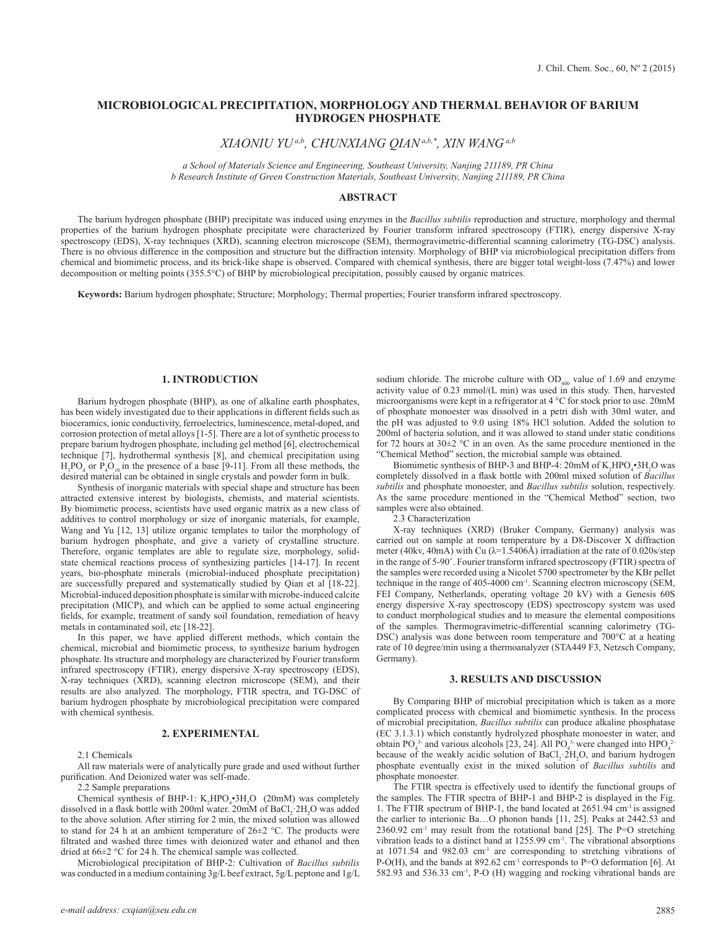# **MICROBIOLOGICAL PRECIPITATION, MORPHOLOGY AND THERMAL BEHAVIOR OF BARIUM HYDROGEN PHOSPHATE**

*XIAONIU YU a,b, CHUNXIANG QIAN a,b,\* , XIN WANG a,b*

*a School of Materials Science and Engineering, Southeast University, Nanjing 211189, PR China b Research Institute of Green Construction Materials, Southeast University, Nanjing 211189, PR China*

### **ABSTRACT**

The barium hydrogen phosphate (BHP) precipitate was induced using enzymes in the *Bacillus subtilis* reproduction and structure, morphology and thermal properties of the barium hydrogen phosphate precipitate were characterized by Fourier transform infrared spectroscopy (FTIR), energy dispersive X-ray spectroscopy (EDS), X-ray techniques (XRD), scanning electron microscope (SEM), thermogravimetric-differential scanning calorimetry (TG-DSC) analysis. There is no obvious difference in the composition and structure but the diffraction intensity. Morphology of BHP via microbiological precipitation differs from chemical and biomimetic process, and its brick-like shape is observed. Compared with chemical synthesis, there are bigger total weight-loss (7.47%) and lower decomposition or melting points (355.5°C) of BHP by microbiological precipitation, possibly caused by organic matrices.

**Keywords:** Barium hydrogen phosphate; Structure; Morphology; Thermal properties; Fourier transform infrared spectroscopy.

### **1. INTRODUCTION**

Barium hydrogen phosphate (BHP), as one of alkaline earth phosphates, has been widely investigated due to their applications in different fields such as bioceramics, ionic conductivity, ferroelectrics, luminescence, metal-doped, and corrosion protection of metal alloys [1-5]. There are a lot of synthetic process to prepare barium hydrogen phosphate, including gel method [6], electrochemical technique [7], hydrothermal synthesis [8], and chemical precipitation using  $H_3PO_4$  or  $P_4O_{10}$  in the presence of a base [9-11]. From all these methods, the desired material can be obtained in single crystals and powder form in bulk.

Synthesis of inorganic materials with special shape and structure has been attracted extensive interest by biologists, chemists, and material scientists. By biomimetic process, scientists have used organic matrix as a new class of additives to control morphology or size of inorganic materials, for example, Wang and Yu [12, 13] utilize organic templates to tailor the morphology of barium hydrogen phosphate, and give a variety of crystalline structure. Therefore, organic templates are able to regulate size, morphology, solidstate chemical reactions process of synthesizing particles [14-17]. In recent years, bio-phosphate minerals (microbial-induced phosphate precipitation) are successfully prepared and systematically studied by Qian et al [18-22]. Microbial-induced deposition phosphate is similar with microbe-induced calcite precipitation (MICP), and which can be applied to some actual engineering fields, for example, treatment of sandy soil foundation, remediation of heavy metals in contaminated soil, etc [18-22].

In this paper, we have applied different methods, which contain the chemical, microbial and biomimetic process, to synthesize barium hydrogen phosphate. Its structure and morphology are characterized by Fourier transform infrared spectroscopy (FTIR), energy dispersive X-ray spectroscopy (EDS), X-ray techniques (XRD), scanning electron microscope (SEM), and their results are also analyzed. The morphology, FTIR spectra, and TG-DSC of barium hydrogen phosphate by microbiological precipitation were compared with chemical synthesis.

#### **2. EXPERIMENTAL**

2.1 Chemicals

All raw materials were of analytically pure grade and used without further purification. And Deionized water was self-made.

2.2 Sample preparations

Chemical synthesis of BHP-1:  $K_2 HPO_4^{\bullet}3H_2O$  (20mM) was completely dissolved in a flask bottle with 200ml water.  $20 \text{mM}$  of  $\text{BaCl}_2$ :  $2 \text{H}_2\text{O}$  was added to the above solution. After stirring for 2 min, the mixed solution was allowed to stand for 24 h at an ambient temperature of  $26\pm2$  °C. The products were filtrated and washed three times with deionized water and ethanol and then dried at 66±2 °C for 24 h. The chemical sample was collected.

Microbiological precipitation of BHP-2: Cultivation of *Bacillus subtilis* was conducted in a medium containing 3g/L beef extract, 5g/L peptone and 1g/L

*e-mail address: cxqian@seu.edu.cn*

sodium chloride. The microbe culture with  $OD<sub>600</sub>$  value of 1.69 and enzyme activity value of 0.23 mmol/(L min) was used in this study. Then, harvested microorganisms were kept in a refrigerator at 4 °C for stock prior to use. 20mM of phosphate monoester was dissolved in a petri dish with 30ml water, and the pH was adjusted to 9.0 using 18% HCl solution. Added the solution to 200ml of bacteria solution, and it was allowed to stand under static conditions for 72 hours at  $30\pm2$  °C in an oven. As the same procedure mentioned in the "Chemical Method" section, the microbial sample was obtained.

Biomimetic synthesis of BHP-3 and BHP-4:  $20 \text{mM}$  of K<sub>2</sub>HPO<sub>4</sub>•3H<sub>2</sub>O was completely dissolved in a flask bottle with 200ml mixed solution of *Bacillus subtilis* and phosphate monoester, and *Bacillus subtilis* solution, respectively. As the same procedure mentioned in the "Chemical Method" section, two samples were also obtained.

2.3 Characterization

X-ray techniques (XRD) (Bruker Company, Germany) analysis was carried out on sample at room temperature by a D8-Discover X diffraction meter (40kv, 40mA) with Cu ( $\lambda$ =1.5406Å) irradiation at the rate of 0.020s/step in the range of 5-90˚. Fourier transform infrared spectroscopy (FTIR) spectra of the samples were recorded using a Nicolet 5700 spectrometer by the KBr pellet technique in the range of 405-4000 cm<sup>-1</sup>. Scanning electron microscopy ( $\hat{\text{SEM}}$ , FEI Company, Netherlands, operating voltage 20 kV) with a Genesis 60S energy dispersive X-ray spectroscopy (EDS) spectroscopy system was used to conduct morphological studies and to measure the elemental compositions of the samples. Thermogravimetric-differential scanning calorimetry (TG-DSC) analysis was done between room temperature and 700°C at a heating rate of 10 degree/min using a thermoanalyzer (STA449 F3, Netzsch Company, Germany).

### **3. RESULTS AND DISCUSSION**

By Comparing BHP of microbial precipitation which is taken as a more complicated process with chemical and biomimetic synthesis. In the process of microbial precipitation, *Bacillus subtilis* can produce alkaline phosphatase (EC 3.1.3.1) which constantly hydrolyzed phosphate monoester in water, and obtain PO<sub>4</sub><sup>3</sup> and various alcohols [23, 24]. All PO<sub>4</sub><sup>3</sup> were changed into HPO<sub>4</sub><sup>2</sup> because of the weakly acidic solution of  $BaCl<sub>2</sub> 2H<sub>2</sub>O$ , and barium hydrogen phosphate eventually exist in the mixed solution of *Bacillus subtilis* and phosphate monoester.

The FTIR spectra is effectively used to identify the functional groups of the samples. The FTIR spectra of BHP-1 and BHP-2 is displayed in the Fig. 1. The FTIR spectrum of BHP-1, the band located at 2651.94 cm-1 is assigned the earlier to interionic Ba…O phonon bands [11, 25]. Peaks at 2442.53 and  $2360.92$  cm<sup>-1</sup> may result from the rotational band [25]. The P=O stretching vibration leads to a distinct band at 1255.99 cm<sup>-1</sup>. The vibrational absorptions at 1071.54 and 982.03 cm-1 are corresponding to stretching vibrations of P-O(H), and the bands at 892.62 cm<sup>-1</sup> corresponds to P=O deformation [6]. At 582.93 and 536.33 cm-1, P-O (H) wagging and rocking vibrational bands are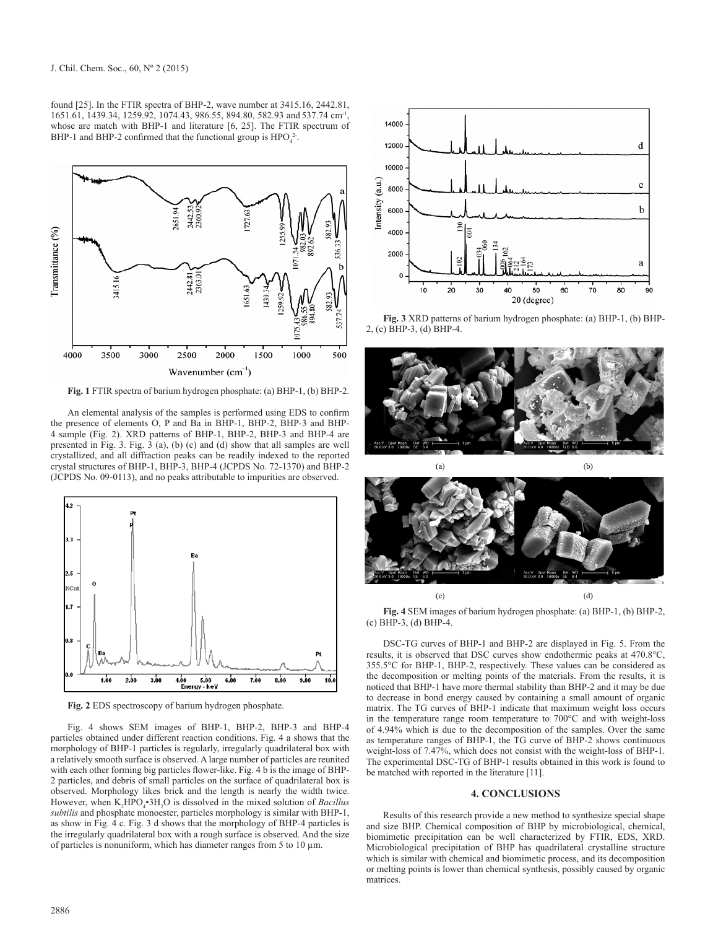found [25]. In the FTIR spectra of BHP-2, wave number at 3415.16, 2442.81, 1651.61, 1439.34, 1259.92, 1074.43, 986.55, 894.80, 582.93 and 537.74 cm-1, whose are match with BHP-1 and literature [6, 25]. The FTIR spectrum of BHP-1 and BHP-2 confirmed that the functional group is  $HPO_4^2$ .



**Fig. 1** FTIR spectra of barium hydrogen phosphate: (a) BHP-1, (b) BHP-2.

An elemental analysis of the samples is performed using EDS to confirm the presence of elements O, P and Ba in BHP-1, BHP-2, BHP-3 and BHP-4 sample (Fig. 2). XRD patterns of BHP-1, BHP-2, BHP-3 and BHP-4 are presented in Fig. 3. Fig. 3 (a), (b) (c) and (d) show that all samples are well crystallized, and all diffraction peaks can be readily indexed to the reported crystal structures of BHP-1, BHP-3, BHP-4 (JCPDS No. 72-1370) and BHP-2 (JCPDS No. 09-0113), and no peaks attributable to impurities are observed.



**Fig. 2** EDS spectroscopy of barium hydrogen phosphate.

Fig. 4 shows SEM images of BHP-1, BHP-2, BHP-3 and BHP-4 particles obtained under different reaction conditions. Fig. 4 a shows that the morphology of BHP-1 particles is regularly, irregularly quadrilateral box with a relatively smooth surface is observed. A large number of particles are reunited with each other forming big particles flower-like. Fig. 4 b is the image of BHP-2 particles, and debris of small particles on the surface of quadrilateral box is observed. Morphology likes brick and the length is nearly the width twice. However, when K<sub>2</sub>HPO<sub>4</sub>•3H<sub>2</sub>O is dissolved in the mixed solution of *Bacillus subtilis* and phosphate monoester, particles morphology is similar with BHP-1, as show in Fig. 4 c. Fig. 3 d shows that the morphology of BHP-4 particles is the irregularly quadrilateral box with a rough surface is observed. And the size of particles is nonuniform, which has diameter ranges from 5 to 10  $\mu$ m.



**Fig. 3** XRD patterns of barium hydrogen phosphate: (a) BHP-1, (b) BHP-2, (c) BHP-3, (d) BHP-4.





**Fig. 4** SEM images of barium hydrogen phosphate: (a) BHP-1, (b) BHP-2, (c) BHP-3, (d) BHP-4.

DSC-TG curves of BHP-1 and BHP-2 are displayed in Fig. 5. From the results, it is observed that DSC curves show endothermic peaks at 470.8°C, 355.5°C for BHP-1, BHP-2, respectively. These values can be considered as the decomposition or melting points of the materials. From the results, it is noticed that BHP-1 have more thermal stability than BHP-2 and it may be due to decrease in bond energy caused by containing a small amount of organic matrix. The TG curves of BHP-1 indicate that maximum weight loss occurs in the temperature range room temperature to 700°C and with weight-loss of 4.94% which is due to the decomposition of the samples. Over the same as temperature ranges of BHP-1, the TG curve of BHP-2 shows continuous weight-loss of 7.47%, which does not consist with the weight-loss of BHP-1. The experimental DSC-TG of BHP-1 results obtained in this work is found to be matched with reported in the literature [11].

#### **4. CONCLUSIONS**

Results of this research provide a new method to synthesize special shape and size BHP. Chemical composition of BHP by microbiological, chemical, biomimetic precipitation can be well characterized by FTIR, EDS, XRD. Microbiological precipitation of BHP has quadrilateral crystalline structure which is similar with chemical and biomimetic process, and its decomposition or melting points is lower than chemical synthesis, possibly caused by organic matrices.